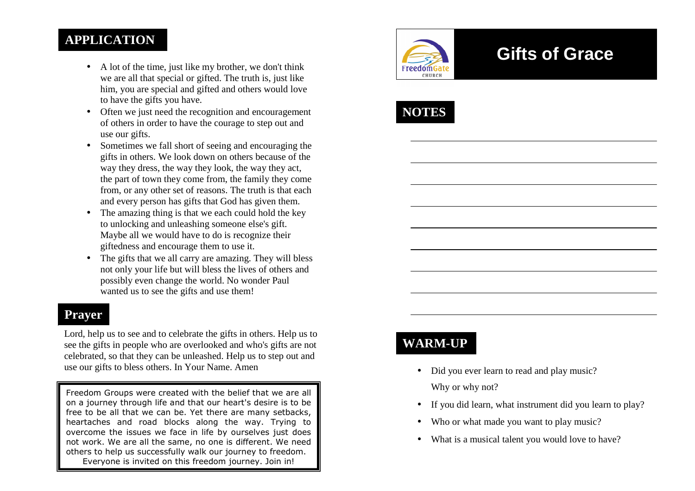#### **APPLICATION**

- A lot of the time, just like my brother, we don't think we are all that special or gifted. The truth is, just like him, you are special and gifted and others would love to have the gifts you have.
- Often we just need the recognition and encouragement of others in order to have the courage to step out and use our gifts.
- Sometimes we fall short of seeing and encouraging the gifts in others. We look down on others because of the way they dress, the way they look, the way they act, the part of town they come from, the family they come from, or any other set of reasons. The truth is that each and every person has gifts that God has given them.
- The amazing thing is that we each could hold the key to unlocking and unleashing someone else's gift. Maybe all we would have to do is recognize their giftedness and encourage them to use it.
- The gifts that we all carry are amazing. They will bless not only your life but will bless the lives of others and possibly even change the world. No wonder Paul wanted us to see the gifts and use them!

#### **Prayer**

Lord, help us to see and to celebrate the gifts in others. Help us to see the gifts in people who are overlooked and who's gifts are not celebrated, so that they can be unleashed. Help us to step out and use our gifts to bless others. In Your Name. Amen

Freedom Groups were created with the belief that we are all on a journey through life and that our heart's desire is to be free to be all that we can be. Yet there are many setbacks, heartaches and road blocks along the way. Trying to overcome the issues we face in life by ourselves just does not work. We are all the same, no one is different. We need others to help us successfully walk our journey to freedom. Everyone is invited on this freedom journey. Join in!



# **Gifts of Grace**



## **WARM-UP**

- Did you ever learn to read and play music? Why or why not?
- If you did learn, what instrument did you learn to play?
- Who or what made you want to play music?
- What is a musical talent you would love to have?